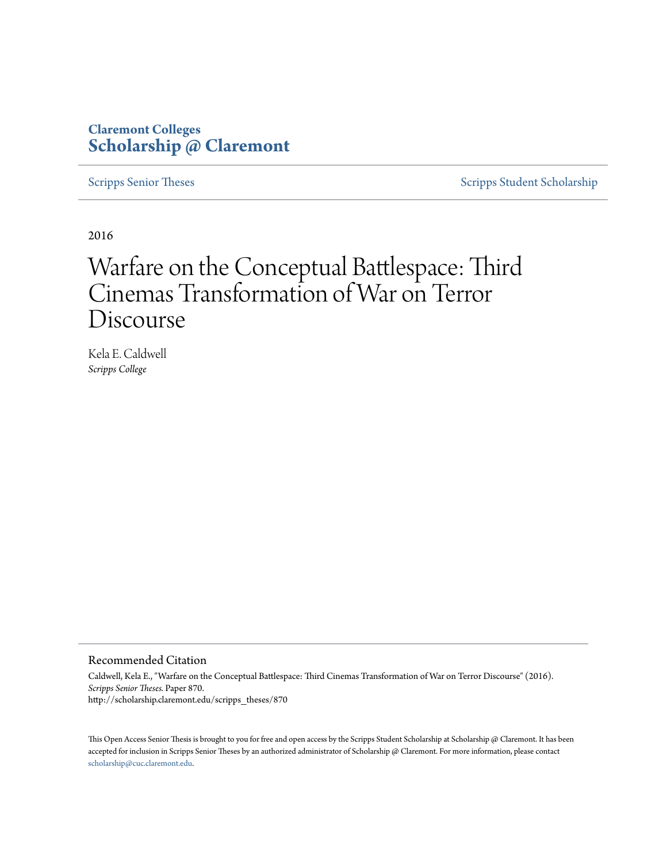## **Claremont Colleges [Scholarship @ Claremont](http://scholarship.claremont.edu)**

[Scripps Senior Theses](http://scholarship.claremont.edu/scripps_theses) [Scripps Student Scholarship](http://scholarship.claremont.edu/scripps_student)

2016

# Warfare on the Conceptual Battlespace: Third Cinemas Transformation of War on Terror Discourse

Kela E. Caldwell *Scripps College*

#### Recommended Citation

Caldwell, Kela E., "Warfare on the Conceptual Battlespace: Third Cinemas Transformation of War on Terror Discourse" (2016). *Scripps Senior Theses.* Paper 870. http://scholarship.claremont.edu/scripps\_theses/870

This Open Access Senior Thesis is brought to you for free and open access by the Scripps Student Scholarship at Scholarship @ Claremont. It has been accepted for inclusion in Scripps Senior Theses by an authorized administrator of Scholarship @ Claremont. For more information, please contact [scholarship@cuc.claremont.edu.](mailto:scholarship@cuc.claremont.edu)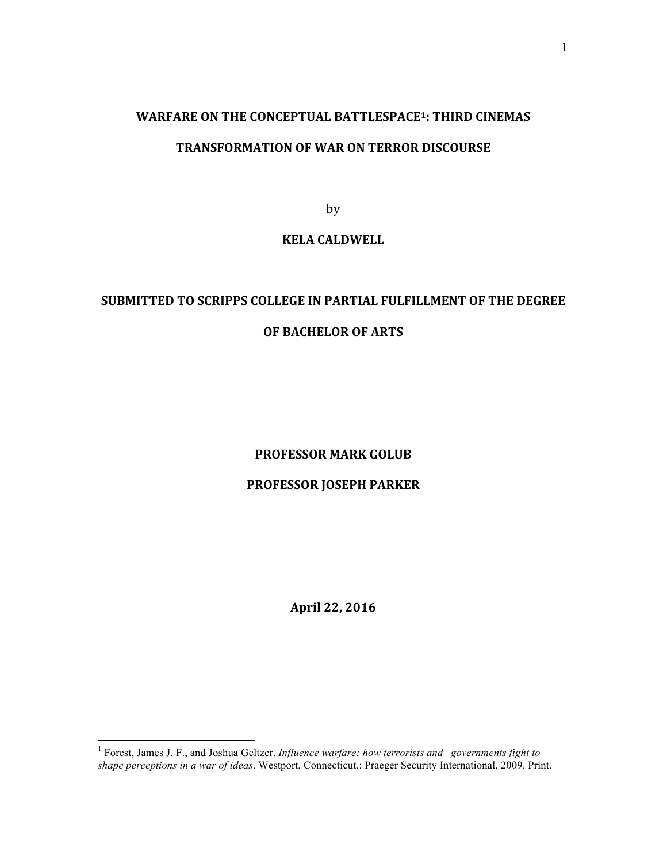# **WARFARE ON THE CONCEPTUAL BATTLESPACE<sup>1</sup>: THIRD CINEMAS**

### **TRANSFORMATION OF WAR ON TERROR DISCOURSE**

by

### **KELA CALDWELL**

# **SUBMITTED TO SCRIPPS COLLEGE IN PARTIAL FULFILLMENT OF THE DEGREE OF BACHELOR OF ARTS**

### **PROFESSOR MARK GOLUB**

### **PROFESSOR JOSEPH PARKER**

**April 22, 2016**

 <sup>1</sup> Forest, James J. F., and Joshua Geltzer. *Influence warfare: how terrorists and governments fight to shape perceptions in a war of ideas*. Westport, Connecticut.: Praeger Security International, 2009. Print.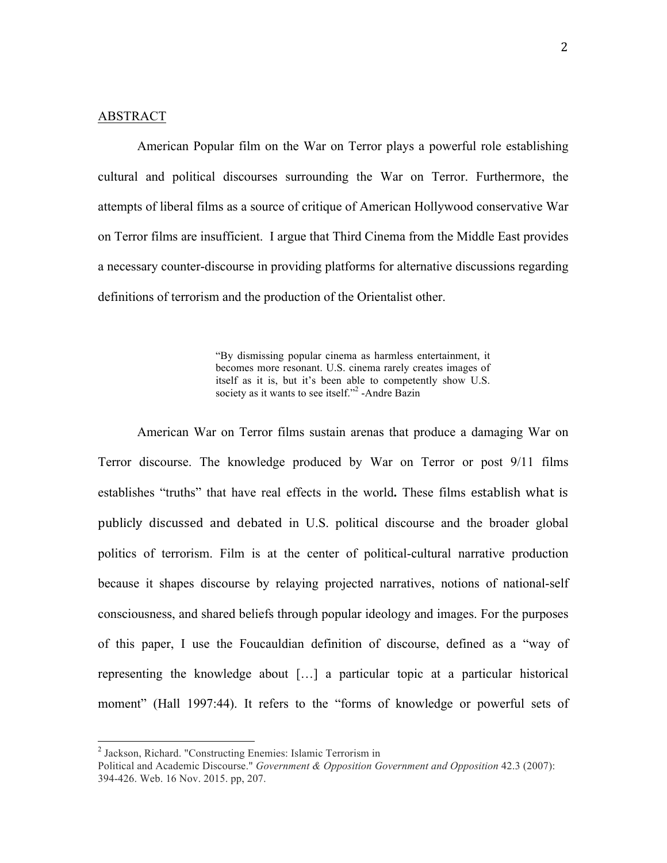#### ABSTRACT

American Popular film on the War on Terror plays a powerful role establishing cultural and political discourses surrounding the War on Terror. Furthermore, the attempts of liberal films as a source of critique of American Hollywood conservative War on Terror films are insufficient. I argue that Third Cinema from the Middle East provides a necessary counter-discourse in providing platforms for alternative discussions regarding definitions of terrorism and the production of the Orientalist other.

> "By dismissing popular cinema as harmless entertainment, it becomes more resonant. U.S. cinema rarely creates images of itself as it is, but it's been able to competently show U.S. society as it wants to see itself."<sup>2</sup> -Andre Bazin

American War on Terror films sustain arenas that produce a damaging War on Terror discourse. The knowledge produced by War on Terror or post 9/11 films establishes "truths" that have real effects in the world. These films establish what is publicly discussed and debated in U.S. political discourse and the broader global politics of terrorism. Film is at the center of political-cultural narrative production because it shapes discourse by relaying projected narratives, notions of national-self consciousness, and shared beliefs through popular ideology and images. For the purposes of this paper, I use the Foucauldian definition of discourse, defined as a "way of representing the knowledge about […] a particular topic at a particular historical moment" (Hall 1997:44). It refers to the "forms of knowledge or powerful sets of

 <sup>2</sup> Jackson, Richard. "Constructing Enemies: Islamic Terrorism in

Political and Academic Discourse." *Government & Opposition Government and Opposition* 42.3 (2007): 394-426. Web. 16 Nov. 2015. pp, 207.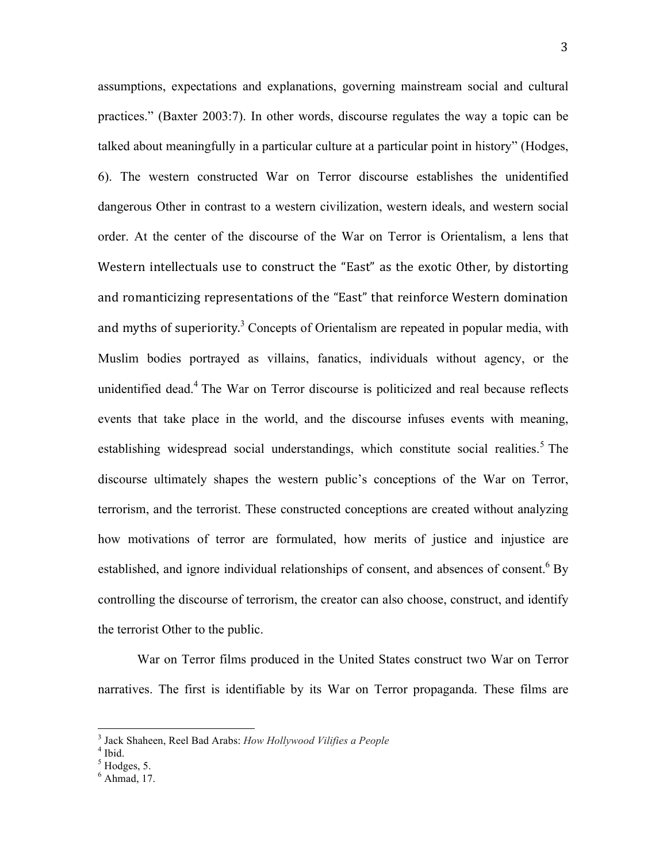assumptions, expectations and explanations, governing mainstream social and cultural practices." (Baxter 2003:7). In other words, discourse regulates the way a topic can be talked about meaningfully in a particular culture at a particular point in history" (Hodges, 6). The western constructed War on Terror discourse establishes the unidentified dangerous Other in contrast to a western civilization, western ideals, and western social order. At the center of the discourse of the War on Terror is Orientalism, a lens that Western intellectuals use to construct the "East" as the exotic Other, by distorting and romanticizing representations of the "East" that reinforce Western domination and myths of superiority.<sup>3</sup> Concepts of Orientalism are repeated in popular media, with Muslim bodies portrayed as villains, fanatics, individuals without agency, or the unidentified dead.4 The War on Terror discourse is politicized and real because reflects events that take place in the world, and the discourse infuses events with meaning, establishing widespread social understandings, which constitute social realities.<sup>5</sup> The discourse ultimately shapes the western public's conceptions of the War on Terror, terrorism, and the terrorist. These constructed conceptions are created without analyzing how motivations of terror are formulated, how merits of justice and injustice are established, and ignore individual relationships of consent, and absences of consent.<sup>6</sup> By controlling the discourse of terrorism, the creator can also choose, construct, and identify the terrorist Other to the public.

War on Terror films produced in the United States construct two War on Terror narratives. The first is identifiable by its War on Terror propaganda. These films are

<sup>&</sup>lt;sup>3</sup> Jack Shaheen, Reel Bad Arabs: *How Hollywood Vilifies a People*<br><sup>4</sup> Ibid.<br><sup>5</sup> Hodges, 5.

 $<sup>6</sup>$  Ahmad, 17.</sup>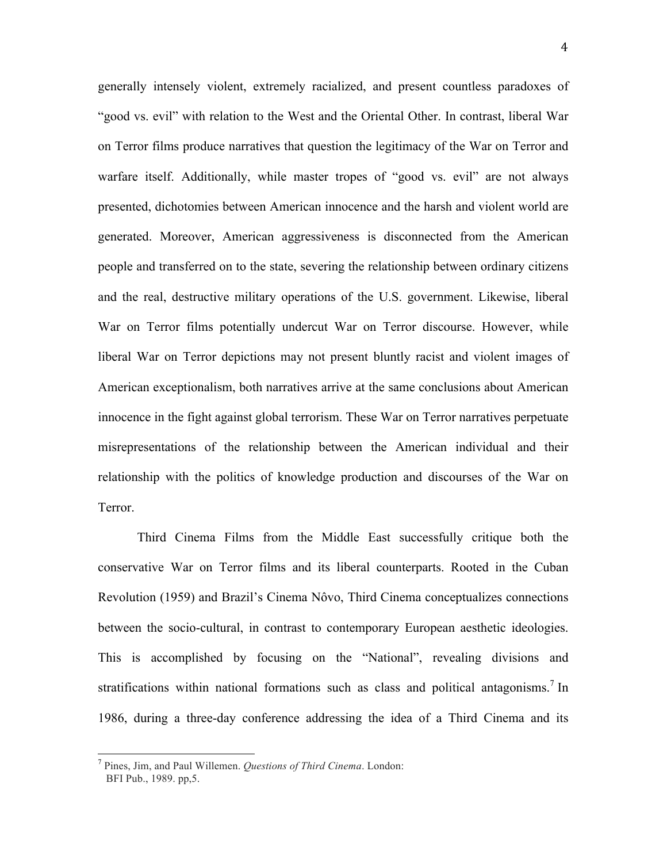generally intensely violent, extremely racialized, and present countless paradoxes of "good vs. evil" with relation to the West and the Oriental Other. In contrast, liberal War on Terror films produce narratives that question the legitimacy of the War on Terror and warfare itself. Additionally, while master tropes of "good vs. evil" are not always presented, dichotomies between American innocence and the harsh and violent world are generated. Moreover, American aggressiveness is disconnected from the American people and transferred on to the state, severing the relationship between ordinary citizens and the real, destructive military operations of the U.S. government. Likewise, liberal War on Terror films potentially undercut War on Terror discourse. However, while liberal War on Terror depictions may not present bluntly racist and violent images of American exceptionalism, both narratives arrive at the same conclusions about American innocence in the fight against global terrorism. These War on Terror narratives perpetuate misrepresentations of the relationship between the American individual and their relationship with the politics of knowledge production and discourses of the War on **Terror** 

Third Cinema Films from the Middle East successfully critique both the conservative War on Terror films and its liberal counterparts. Rooted in the Cuban Revolution (1959) and Brazil's Cinema Nôvo, Third Cinema conceptualizes connections between the socio-cultural, in contrast to contemporary European aesthetic ideologies. This is accomplished by focusing on the "National", revealing divisions and stratifications within national formations such as class and political antagonisms.<sup>7</sup> In 1986, during a three-day conference addressing the idea of a Third Cinema and its

 <sup>7</sup> Pines, Jim, and Paul Willemen. *Questions of Third Cinema*. London: BFI Pub., 1989. pp,5.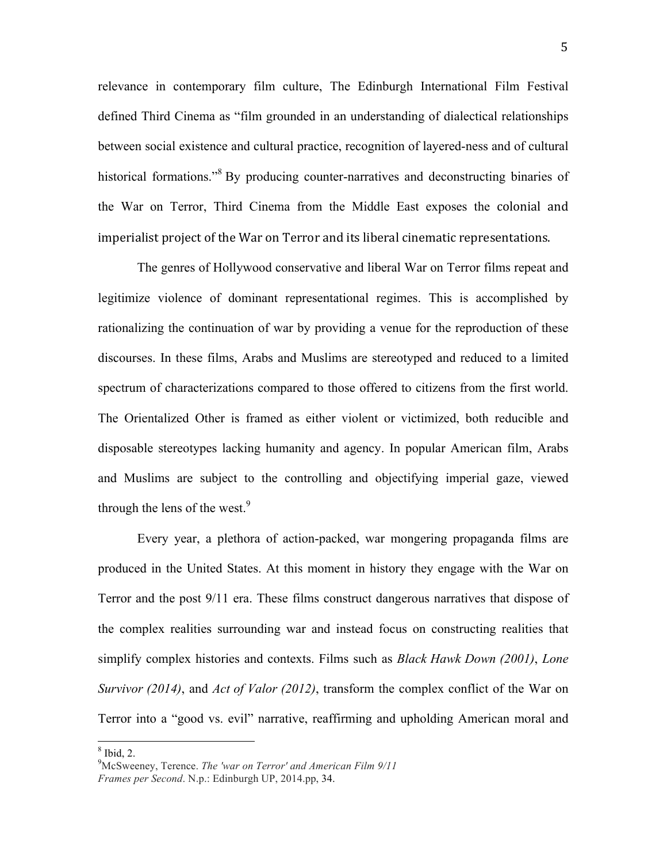relevance in contemporary film culture, The Edinburgh International Film Festival defined Third Cinema as "film grounded in an understanding of dialectical relationships between social existence and cultural practice, recognition of layered-ness and of cultural historical formations."<sup>8</sup> By producing counter-narratives and deconstructing binaries of the War on Terror, Third Cinema from the Middle East exposes the colonial and imperialist project of the War on Terror and its liberal cinematic representations.

The genres of Hollywood conservative and liberal War on Terror films repeat and legitimize violence of dominant representational regimes. This is accomplished by rationalizing the continuation of war by providing a venue for the reproduction of these discourses. In these films, Arabs and Muslims are stereotyped and reduced to a limited spectrum of characterizations compared to those offered to citizens from the first world. The Orientalized Other is framed as either violent or victimized, both reducible and disposable stereotypes lacking humanity and agency. In popular American film, Arabs and Muslims are subject to the controlling and objectifying imperial gaze, viewed through the lens of the west.<sup>9</sup>

Every year, a plethora of action-packed, war mongering propaganda films are produced in the United States. At this moment in history they engage with the War on Terror and the post 9/11 era. These films construct dangerous narratives that dispose of the complex realities surrounding war and instead focus on constructing realities that simplify complex histories and contexts. Films such as *Black Hawk Down (2001)*, *Lone Survivor (2014)*, and *Act of Valor (2012)*, transform the complex conflict of the War on Terror into a "good vs. evil" narrative, reaffirming and upholding American moral and

 $8$  Ibid, 2.

<sup>9</sup> McSweeney, Terence. *The 'war on Terror' and American Film 9/11 Frames per Second*. N.p.: Edinburgh UP, 2014.pp, 34.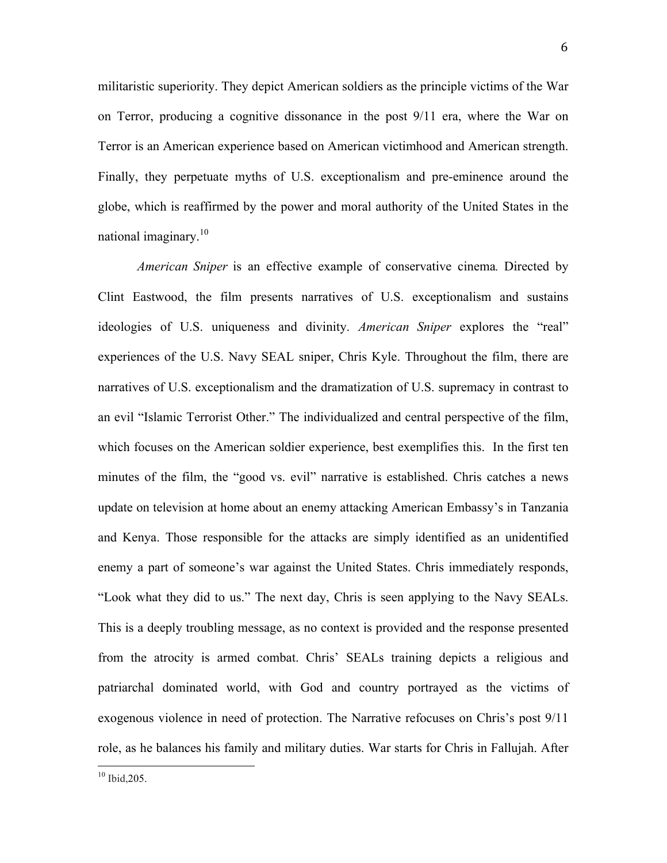militaristic superiority. They depict American soldiers as the principle victims of the War on Terror, producing a cognitive dissonance in the post 9/11 era, where the War on Terror is an American experience based on American victimhood and American strength. Finally, they perpetuate myths of U.S. exceptionalism and pre-eminence around the globe, which is reaffirmed by the power and moral authority of the United States in the national imaginary.<sup>10</sup>

*American Sniper* is an effective example of conservative cinema*.* Directed by Clint Eastwood, the film presents narratives of U.S. exceptionalism and sustains ideologies of U.S. uniqueness and divinity. *American Sniper* explores the "real" experiences of the U.S. Navy SEAL sniper, Chris Kyle. Throughout the film, there are narratives of U.S. exceptionalism and the dramatization of U.S. supremacy in contrast to an evil "Islamic Terrorist Other." The individualized and central perspective of the film, which focuses on the American soldier experience, best exemplifies this. In the first ten minutes of the film, the "good vs. evil" narrative is established. Chris catches a news update on television at home about an enemy attacking American Embassy's in Tanzania and Kenya. Those responsible for the attacks are simply identified as an unidentified enemy a part of someone's war against the United States. Chris immediately responds, "Look what they did to us." The next day, Chris is seen applying to the Navy SEALs. This is a deeply troubling message, as no context is provided and the response presented from the atrocity is armed combat. Chris' SEALs training depicts a religious and patriarchal dominated world, with God and country portrayed as the victims of exogenous violence in need of protection. The Narrative refocuses on Chris's post 9/11 role, as he balances his family and military duties. War starts for Chris in Fallujah. After

 $10$  Ibid, 205.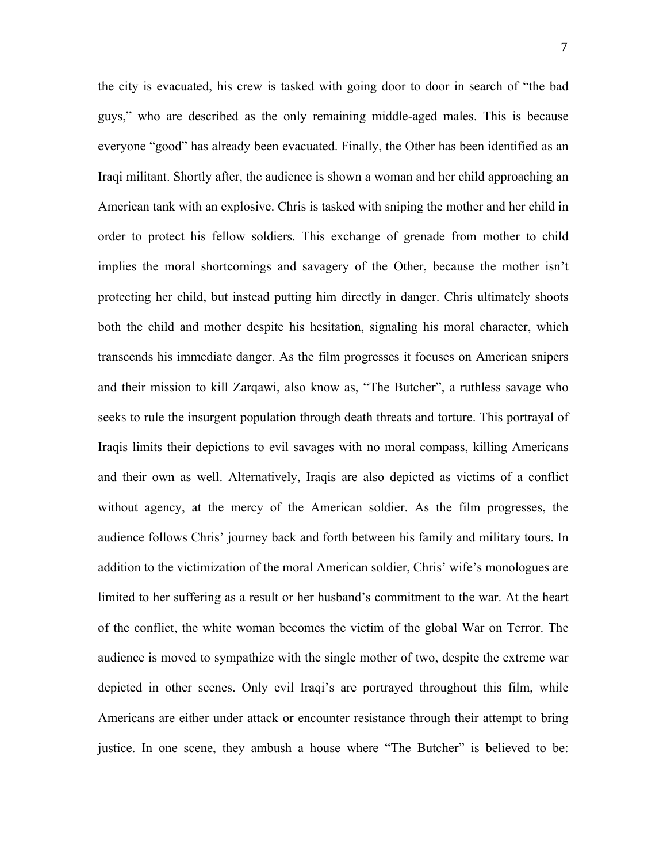the city is evacuated, his crew is tasked with going door to door in search of "the bad guys," who are described as the only remaining middle-aged males. This is because everyone "good" has already been evacuated. Finally, the Other has been identified as an Iraqi militant. Shortly after, the audience is shown a woman and her child approaching an American tank with an explosive. Chris is tasked with sniping the mother and her child in order to protect his fellow soldiers. This exchange of grenade from mother to child implies the moral shortcomings and savagery of the Other, because the mother isn't protecting her child, but instead putting him directly in danger. Chris ultimately shoots both the child and mother despite his hesitation, signaling his moral character, which transcends his immediate danger. As the film progresses it focuses on American snipers and their mission to kill Zarqawi, also know as, "The Butcher", a ruthless savage who seeks to rule the insurgent population through death threats and torture. This portrayal of Iraqis limits their depictions to evil savages with no moral compass, killing Americans and their own as well. Alternatively, Iraqis are also depicted as victims of a conflict without agency, at the mercy of the American soldier. As the film progresses, the audience follows Chris' journey back and forth between his family and military tours. In addition to the victimization of the moral American soldier, Chris' wife's monologues are limited to her suffering as a result or her husband's commitment to the war. At the heart of the conflict, the white woman becomes the victim of the global War on Terror. The audience is moved to sympathize with the single mother of two, despite the extreme war depicted in other scenes. Only evil Iraqi's are portrayed throughout this film, while Americans are either under attack or encounter resistance through their attempt to bring justice. In one scene, they ambush a house where "The Butcher" is believed to be: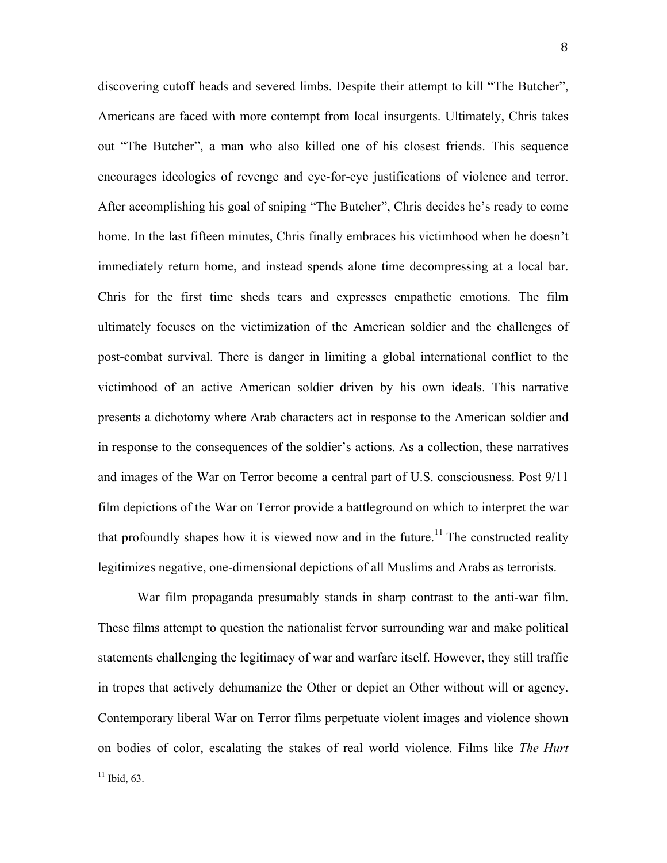discovering cutoff heads and severed limbs. Despite their attempt to kill "The Butcher", Americans are faced with more contempt from local insurgents. Ultimately, Chris takes out "The Butcher", a man who also killed one of his closest friends. This sequence encourages ideologies of revenge and eye-for-eye justifications of violence and terror. After accomplishing his goal of sniping "The Butcher", Chris decides he's ready to come home. In the last fifteen minutes, Chris finally embraces his victimhood when he doesn't immediately return home, and instead spends alone time decompressing at a local bar. Chris for the first time sheds tears and expresses empathetic emotions. The film ultimately focuses on the victimization of the American soldier and the challenges of post-combat survival. There is danger in limiting a global international conflict to the victimhood of an active American soldier driven by his own ideals. This narrative presents a dichotomy where Arab characters act in response to the American soldier and in response to the consequences of the soldier's actions. As a collection, these narratives and images of the War on Terror become a central part of U.S. consciousness. Post 9/11 film depictions of the War on Terror provide a battleground on which to interpret the war that profoundly shapes how it is viewed now and in the future.<sup>11</sup> The constructed reality legitimizes negative, one-dimensional depictions of all Muslims and Arabs as terrorists.

War film propaganda presumably stands in sharp contrast to the anti-war film. These films attempt to question the nationalist fervor surrounding war and make political statements challenging the legitimacy of war and warfare itself. However, they still traffic in tropes that actively dehumanize the Other or depict an Other without will or agency. Contemporary liberal War on Terror films perpetuate violent images and violence shown on bodies of color, escalating the stakes of real world violence. Films like *The Hurt* 

 $11$  Ibid, 63.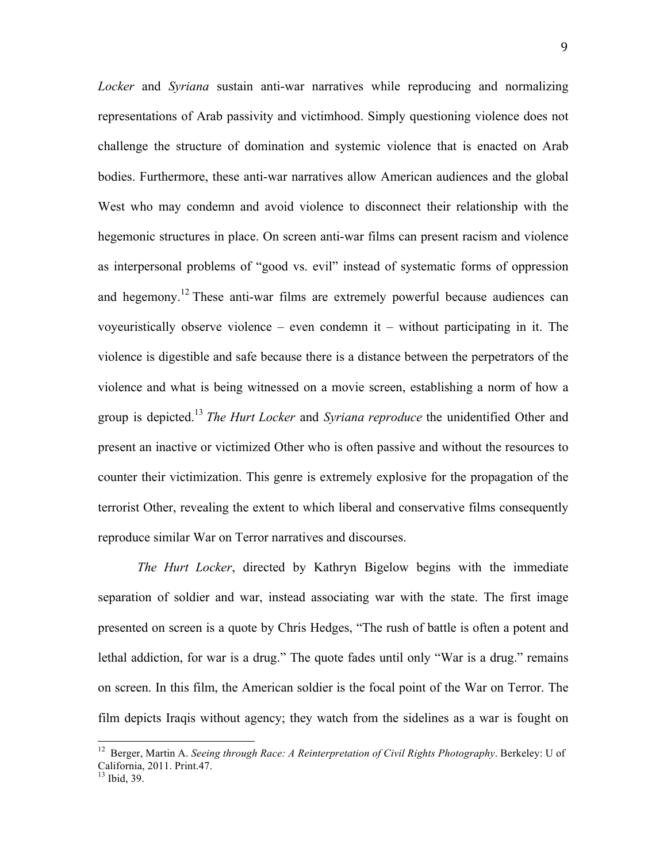*Locker* and *Syriana* sustain anti-war narratives while reproducing and normalizing representations of Arab passivity and victimhood. Simply questioning violence does not challenge the structure of domination and systemic violence that is enacted on Arab bodies. Furthermore, these anti-war narratives allow American audiences and the global West who may condemn and avoid violence to disconnect their relationship with the hegemonic structures in place. On screen anti-war films can present racism and violence as interpersonal problems of "good vs. evil" instead of systematic forms of oppression and hegemony.<sup>12</sup> These anti-war films are extremely powerful because audiences can voyeuristically observe violence – even condemn it – without participating in it. The violence is digestible and safe because there is a distance between the perpetrators of the violence and what is being witnessed on a movie screen, establishing a norm of how a group is depicted.<sup>13</sup> *The Hurt Locker* and *Syriana reproduce* the unidentified Other and present an inactive or victimized Other who is often passive and without the resources to counter their victimization. This genre is extremely explosive for the propagation of the terrorist Other, revealing the extent to which liberal and conservative films consequently reproduce similar War on Terror narratives and discourses.

*The Hurt Locker*, directed by Kathryn Bigelow begins with the immediate separation of soldier and war, instead associating war with the state. The first image presented on screen is a quote by Chris Hedges, "The rush of battle is often a potent and lethal addiction, for war is a drug." The quote fades until only "War is a drug." remains on screen. In this film, the American soldier is the focal point of the War on Terror. The film depicts Iraqis without agency; they watch from the sidelines as a war is fought on

 12 Berger, Martin A. *Seeing through Race: A Reinterpretation of Civil Rights Photography*. Berkeley: U of California, 2011. Print.47.<br><sup>13</sup> Ibid. 39.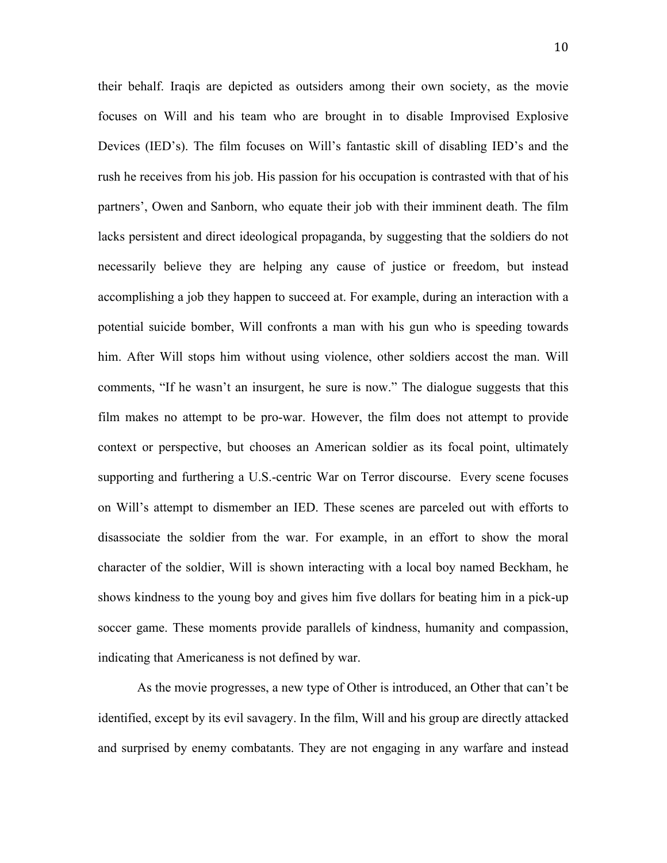their behalf. Iraqis are depicted as outsiders among their own society, as the movie focuses on Will and his team who are brought in to disable Improvised Explosive Devices (IED's). The film focuses on Will's fantastic skill of disabling IED's and the rush he receives from his job. His passion for his occupation is contrasted with that of his partners', Owen and Sanborn, who equate their job with their imminent death. The film lacks persistent and direct ideological propaganda, by suggesting that the soldiers do not necessarily believe they are helping any cause of justice or freedom, but instead accomplishing a job they happen to succeed at. For example, during an interaction with a potential suicide bomber, Will confronts a man with his gun who is speeding towards him. After Will stops him without using violence, other soldiers accost the man. Will comments, "If he wasn't an insurgent, he sure is now." The dialogue suggests that this film makes no attempt to be pro-war. However, the film does not attempt to provide context or perspective, but chooses an American soldier as its focal point, ultimately supporting and furthering a U.S.-centric War on Terror discourse. Every scene focuses on Will's attempt to dismember an IED. These scenes are parceled out with efforts to disassociate the soldier from the war. For example, in an effort to show the moral character of the soldier, Will is shown interacting with a local boy named Beckham, he shows kindness to the young boy and gives him five dollars for beating him in a pick-up soccer game. These moments provide parallels of kindness, humanity and compassion, indicating that Americaness is not defined by war.

As the movie progresses, a new type of Other is introduced, an Other that can't be identified, except by its evil savagery. In the film, Will and his group are directly attacked and surprised by enemy combatants. They are not engaging in any warfare and instead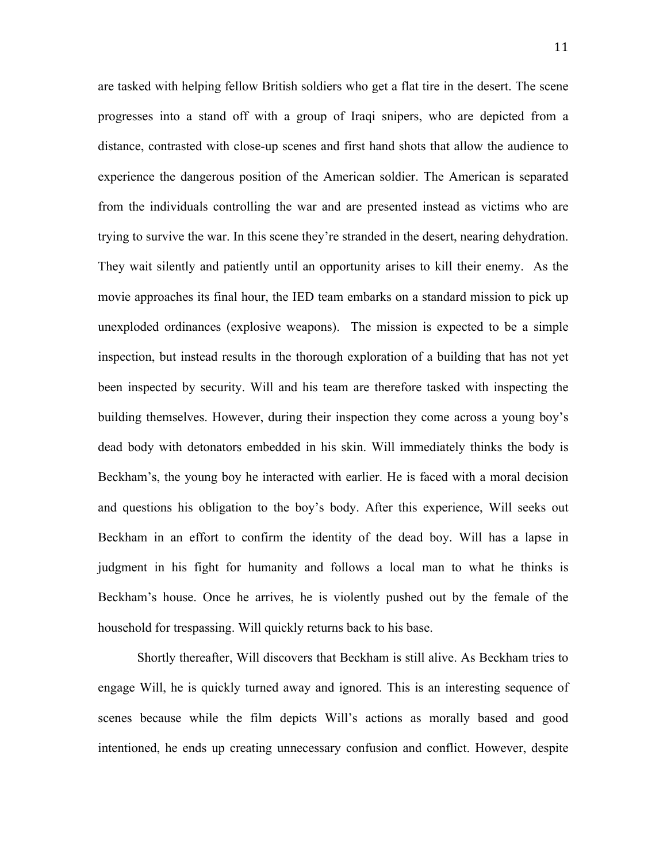are tasked with helping fellow British soldiers who get a flat tire in the desert. The scene progresses into a stand off with a group of Iraqi snipers, who are depicted from a distance, contrasted with close-up scenes and first hand shots that allow the audience to experience the dangerous position of the American soldier. The American is separated from the individuals controlling the war and are presented instead as victims who are trying to survive the war. In this scene they're stranded in the desert, nearing dehydration. They wait silently and patiently until an opportunity arises to kill their enemy. As the movie approaches its final hour, the IED team embarks on a standard mission to pick up unexploded ordinances (explosive weapons). The mission is expected to be a simple inspection, but instead results in the thorough exploration of a building that has not yet been inspected by security. Will and his team are therefore tasked with inspecting the building themselves. However, during their inspection they come across a young boy's dead body with detonators embedded in his skin. Will immediately thinks the body is Beckham's, the young boy he interacted with earlier. He is faced with a moral decision and questions his obligation to the boy's body. After this experience, Will seeks out Beckham in an effort to confirm the identity of the dead boy. Will has a lapse in judgment in his fight for humanity and follows a local man to what he thinks is Beckham's house. Once he arrives, he is violently pushed out by the female of the household for trespassing. Will quickly returns back to his base.

Shortly thereafter, Will discovers that Beckham is still alive. As Beckham tries to engage Will, he is quickly turned away and ignored. This is an interesting sequence of scenes because while the film depicts Will's actions as morally based and good intentioned, he ends up creating unnecessary confusion and conflict. However, despite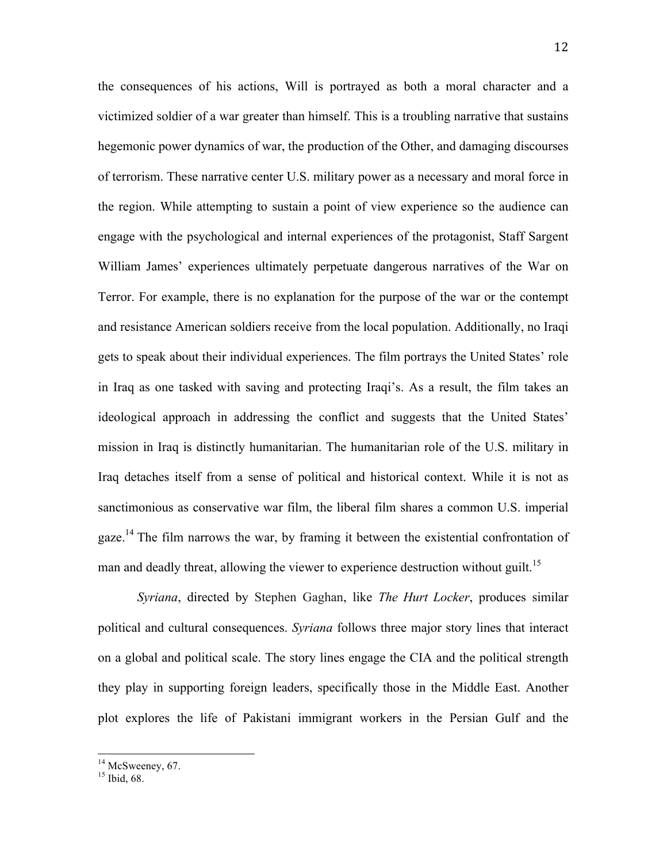the consequences of his actions, Will is portrayed as both a moral character and a victimized soldier of a war greater than himself. This is a troubling narrative that sustains hegemonic power dynamics of war, the production of the Other, and damaging discourses of terrorism. These narrative center U.S. military power as a necessary and moral force in the region. While attempting to sustain a point of view experience so the audience can engage with the psychological and internal experiences of the protagonist, Staff Sargent William James' experiences ultimately perpetuate dangerous narratives of the War on Terror. For example, there is no explanation for the purpose of the war or the contempt and resistance American soldiers receive from the local population. Additionally, no Iraqi gets to speak about their individual experiences. The film portrays the United States' role in Iraq as one tasked with saving and protecting Iraqi's. As a result, the film takes an ideological approach in addressing the conflict and suggests that the United States' mission in Iraq is distinctly humanitarian. The humanitarian role of the U.S. military in Iraq detaches itself from a sense of political and historical context. While it is not as sanctimonious as conservative war film, the liberal film shares a common U.S. imperial gaze.14 The film narrows the war, by framing it between the existential confrontation of man and deadly threat, allowing the viewer to experience destruction without guilt.<sup>15</sup>

*Syriana*, directed by Stephen Gaghan, like *The Hurt Locker*, produces similar political and cultural consequences. *Syriana* follows three major story lines that interact on a global and political scale. The story lines engage the CIA and the political strength they play in supporting foreign leaders, specifically those in the Middle East. Another plot explores the life of Pakistani immigrant workers in the Persian Gulf and the

 $^{14}$  McSweeney, 67.<br><sup>15</sup> Ibid. 68.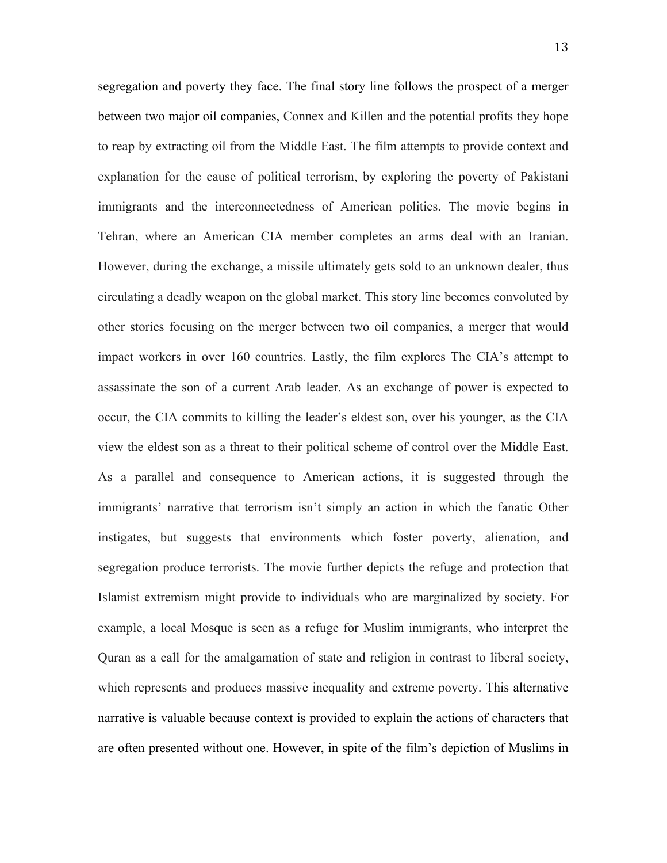segregation and poverty they face. The final story line follows the prospect of a merger between two major oil companies, Connex and Killen and the potential profits they hope to reap by extracting oil from the Middle East. The film attempts to provide context and explanation for the cause of political terrorism, by exploring the poverty of Pakistani immigrants and the interconnectedness of American politics. The movie begins in Tehran, where an American CIA member completes an arms deal with an Iranian. However, during the exchange, a missile ultimately gets sold to an unknown dealer, thus circulating a deadly weapon on the global market. This story line becomes convoluted by other stories focusing on the merger between two oil companies, a merger that would impact workers in over 160 countries. Lastly, the film explores The CIA's attempt to assassinate the son of a current Arab leader. As an exchange of power is expected to occur, the CIA commits to killing the leader's eldest son, over his younger, as the CIA view the eldest son as a threat to their political scheme of control over the Middle East. As a parallel and consequence to American actions, it is suggested through the immigrants' narrative that terrorism isn't simply an action in which the fanatic Other instigates, but suggests that environments which foster poverty, alienation, and segregation produce terrorists. The movie further depicts the refuge and protection that Islamist extremism might provide to individuals who are marginalized by society. For example, a local Mosque is seen as a refuge for Muslim immigrants, who interpret the Quran as a call for the amalgamation of state and religion in contrast to liberal society, which represents and produces massive inequality and extreme poverty. This alternative narrative is valuable because context is provided to explain the actions of characters that are often presented without one. However, in spite of the film's depiction of Muslims in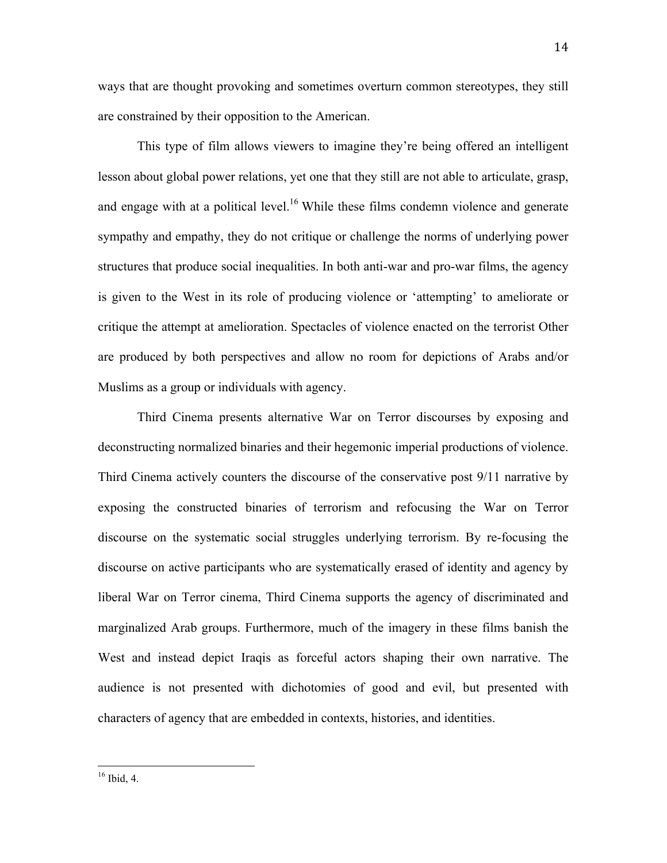ways that are thought provoking and sometimes overturn common stereotypes, they still are constrained by their opposition to the American.

This type of film allows viewers to imagine they're being offered an intelligent lesson about global power relations, yet one that they still are not able to articulate, grasp, and engage with at a political level.<sup>16</sup> While these films condemn violence and generate sympathy and empathy, they do not critique or challenge the norms of underlying power structures that produce social inequalities. In both anti-war and pro-war films, the agency is given to the West in its role of producing violence or 'attempting' to ameliorate or critique the attempt at amelioration. Spectacles of violence enacted on the terrorist Other are produced by both perspectives and allow no room for depictions of Arabs and/or Muslims as a group or individuals with agency.

Third Cinema presents alternative War on Terror discourses by exposing and deconstructing normalized binaries and their hegemonic imperial productions of violence. Third Cinema actively counters the discourse of the conservative post 9/11 narrative by exposing the constructed binaries of terrorism and refocusing the War on Terror discourse on the systematic social struggles underlying terrorism. By re-focusing the discourse on active participants who are systematically erased of identity and agency by liberal War on Terror cinema, Third Cinema supports the agency of discriminated and marginalized Arab groups. Furthermore, much of the imagery in these films banish the West and instead depict Iraqis as forceful actors shaping their own narrative. The audience is not presented with dichotomies of good and evil, but presented with characters of agency that are embedded in contexts, histories, and identities.

 $16$  Ibid, 4.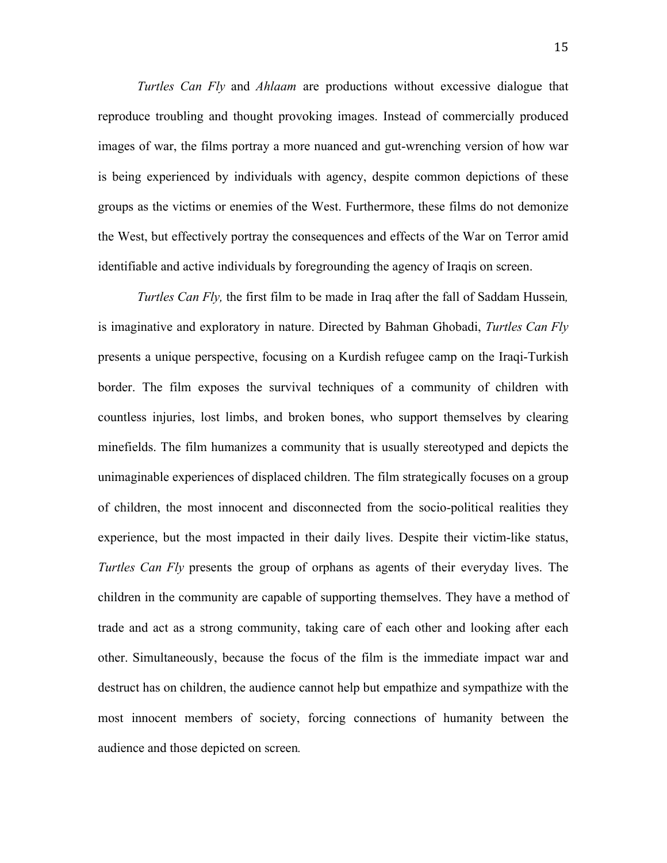*Turtles Can Fly* and *Ahlaam* are productions without excessive dialogue that reproduce troubling and thought provoking images. Instead of commercially produced images of war, the films portray a more nuanced and gut-wrenching version of how war is being experienced by individuals with agency, despite common depictions of these groups as the victims or enemies of the West. Furthermore, these films do not demonize the West, but effectively portray the consequences and effects of the War on Terror amid identifiable and active individuals by foregrounding the agency of Iraqis on screen.

*Turtles Can Fly,* the first film to be made in Iraq after the fall of Saddam Hussein*,*  is imaginative and exploratory in nature. Directed by Bahman Ghobadi, *Turtles Can Fly* presents a unique perspective, focusing on a Kurdish refugee camp on the Iraqi-Turkish border. The film exposes the survival techniques of a community of children with countless injuries, lost limbs, and broken bones, who support themselves by clearing minefields. The film humanizes a community that is usually stereotyped and depicts the unimaginable experiences of displaced children. The film strategically focuses on a group of children, the most innocent and disconnected from the socio-political realities they experience, but the most impacted in their daily lives. Despite their victim-like status, *Turtles Can Fly* presents the group of orphans as agents of their everyday lives. The children in the community are capable of supporting themselves. They have a method of trade and act as a strong community, taking care of each other and looking after each other. Simultaneously, because the focus of the film is the immediate impact war and destruct has on children, the audience cannot help but empathize and sympathize with the most innocent members of society, forcing connections of humanity between the audience and those depicted on screen*.*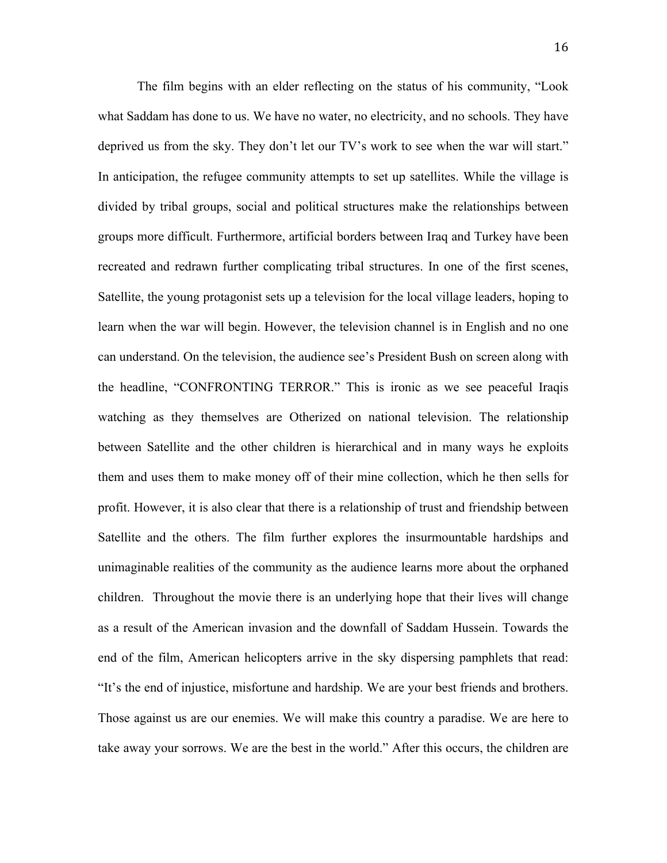The film begins with an elder reflecting on the status of his community, "Look what Saddam has done to us. We have no water, no electricity, and no schools. They have deprived us from the sky. They don't let our TV's work to see when the war will start." In anticipation, the refugee community attempts to set up satellites. While the village is divided by tribal groups, social and political structures make the relationships between groups more difficult. Furthermore, artificial borders between Iraq and Turkey have been recreated and redrawn further complicating tribal structures. In one of the first scenes, Satellite, the young protagonist sets up a television for the local village leaders, hoping to learn when the war will begin. However, the television channel is in English and no one can understand. On the television, the audience see's President Bush on screen along with the headline, "CONFRONTING TERROR." This is ironic as we see peaceful Iraqis watching as they themselves are Otherized on national television. The relationship between Satellite and the other children is hierarchical and in many ways he exploits them and uses them to make money off of their mine collection, which he then sells for profit. However, it is also clear that there is a relationship of trust and friendship between Satellite and the others. The film further explores the insurmountable hardships and unimaginable realities of the community as the audience learns more about the orphaned children. Throughout the movie there is an underlying hope that their lives will change as a result of the American invasion and the downfall of Saddam Hussein. Towards the end of the film, American helicopters arrive in the sky dispersing pamphlets that read: "It's the end of injustice, misfortune and hardship. We are your best friends and brothers. Those against us are our enemies. We will make this country a paradise. We are here to take away your sorrows. We are the best in the world." After this occurs, the children are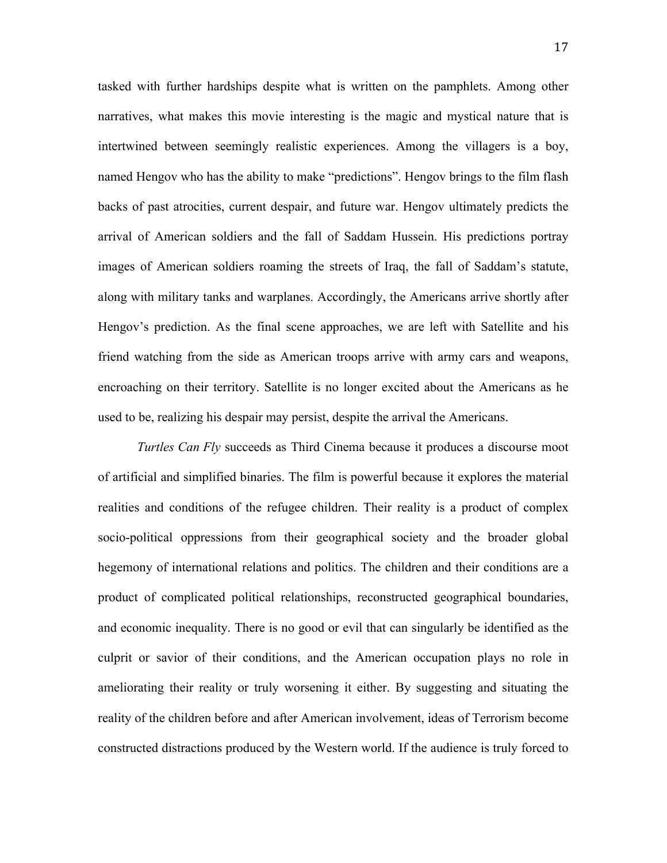tasked with further hardships despite what is written on the pamphlets. Among other narratives, what makes this movie interesting is the magic and mystical nature that is intertwined between seemingly realistic experiences. Among the villagers is a boy, named Hengov who has the ability to make "predictions". Hengov brings to the film flash backs of past atrocities, current despair, and future war. Hengov ultimately predicts the arrival of American soldiers and the fall of Saddam Hussein. His predictions portray images of American soldiers roaming the streets of Iraq, the fall of Saddam's statute, along with military tanks and warplanes. Accordingly, the Americans arrive shortly after Hengov's prediction. As the final scene approaches, we are left with Satellite and his friend watching from the side as American troops arrive with army cars and weapons, encroaching on their territory. Satellite is no longer excited about the Americans as he used to be, realizing his despair may persist, despite the arrival the Americans.

*Turtles Can Fly* succeeds as Third Cinema because it produces a discourse moot of artificial and simplified binaries. The film is powerful because it explores the material realities and conditions of the refugee children. Their reality is a product of complex socio-political oppressions from their geographical society and the broader global hegemony of international relations and politics. The children and their conditions are a product of complicated political relationships, reconstructed geographical boundaries, and economic inequality. There is no good or evil that can singularly be identified as the culprit or savior of their conditions, and the American occupation plays no role in ameliorating their reality or truly worsening it either. By suggesting and situating the reality of the children before and after American involvement, ideas of Terrorism become constructed distractions produced by the Western world. If the audience is truly forced to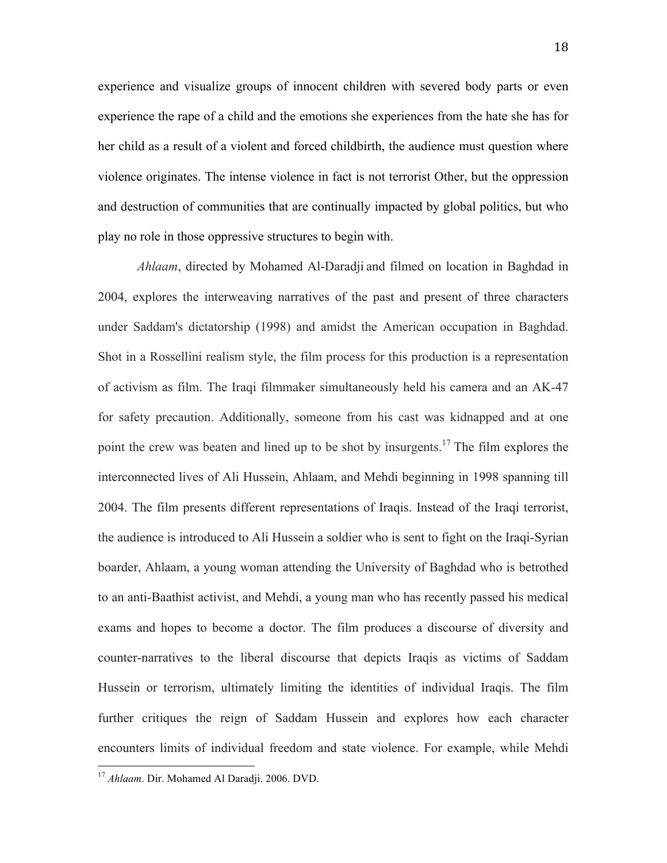experience and visualize groups of innocent children with severed body parts or even experience the rape of a child and the emotions she experiences from the hate she has for her child as a result of a violent and forced childbirth, the audience must question where violence originates. The intense violence in fact is not terrorist Other, but the oppression and destruction of communities that are continually impacted by global politics, but who play no role in those oppressive structures to begin with.

*Ahlaam*, directed by Mohamed Al-Daradji and filmed on location in Baghdad in 2004, explores the interweaving narratives of the past and present of three characters under Saddam's dictatorship (1998) and amidst the American occupation in Baghdad. Shot in a Rossellini realism style, the film process for this production is a representation of activism as film. The Iraqi filmmaker simultaneously held his camera and an AK-47 for safety precaution. Additionally, someone from his cast was kidnapped and at one point the crew was beaten and lined up to be shot by insurgents.<sup>17</sup> The film explores the interconnected lives of Ali Hussein, Ahlaam, and Mehdi beginning in 1998 spanning till 2004. The film presents different representations of Iraqis. Instead of the Iraqi terrorist, the audience is introduced to Ali Hussein a soldier who is sent to fight on the Iraqi-Syrian boarder, Ahlaam, a young woman attending the University of Baghdad who is betrothed to an anti-Baathist activist, and Mehdi, a young man who has recently passed his medical exams and hopes to become a doctor. The film produces a discourse of diversity and counter-narratives to the liberal discourse that depicts Iraqis as victims of Saddam Hussein or terrorism, ultimately limiting the identities of individual Iraqis. The film further critiques the reign of Saddam Hussein and explores how each character encounters limits of individual freedom and state violence. For example, while Mehdi

 <sup>17</sup> *Ahlaam*. Dir. Mohamed Al Daradji. 2006. DVD.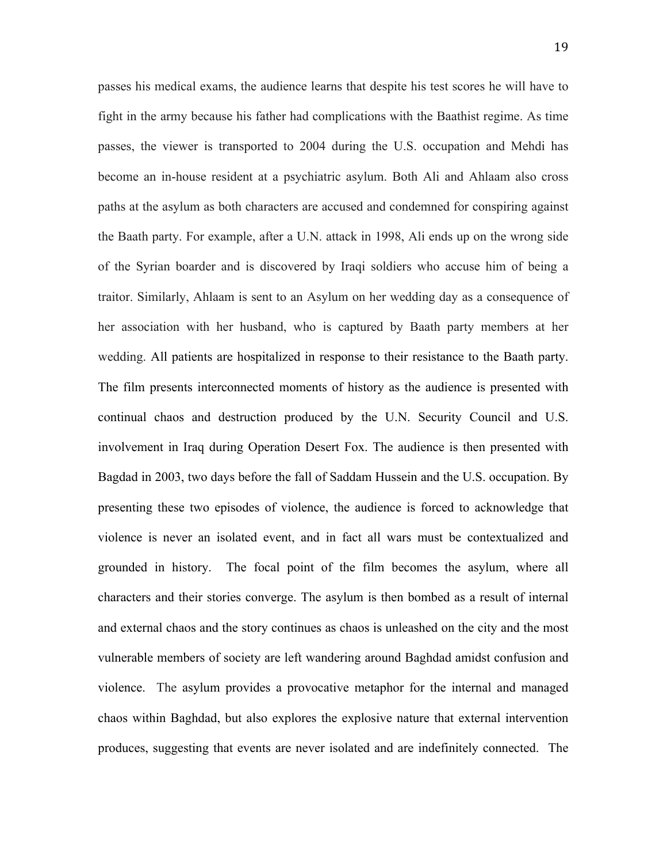passes his medical exams, the audience learns that despite his test scores he will have to fight in the army because his father had complications with the Baathist regime. As time passes, the viewer is transported to 2004 during the U.S. occupation and Mehdi has become an in-house resident at a psychiatric asylum. Both Ali and Ahlaam also cross paths at the asylum as both characters are accused and condemned for conspiring against the Baath party. For example, after a U.N. attack in 1998, Ali ends up on the wrong side of the Syrian boarder and is discovered by Iraqi soldiers who accuse him of being a traitor. Similarly, Ahlaam is sent to an Asylum on her wedding day as a consequence of her association with her husband, who is captured by Baath party members at her wedding. All patients are hospitalized in response to their resistance to the Baath party. The film presents interconnected moments of history as the audience is presented with continual chaos and destruction produced by the U.N. Security Council and U.S. involvement in Iraq during Operation Desert Fox. The audience is then presented with Bagdad in 2003, two days before the fall of Saddam Hussein and the U.S. occupation. By presenting these two episodes of violence, the audience is forced to acknowledge that violence is never an isolated event, and in fact all wars must be contextualized and grounded in history. The focal point of the film becomes the asylum, where all characters and their stories converge. The asylum is then bombed as a result of internal and external chaos and the story continues as chaos is unleashed on the city and the most vulnerable members of society are left wandering around Baghdad amidst confusion and violence. The asylum provides a provocative metaphor for the internal and managed chaos within Baghdad, but also explores the explosive nature that external intervention produces, suggesting that events are never isolated and are indefinitely connected. The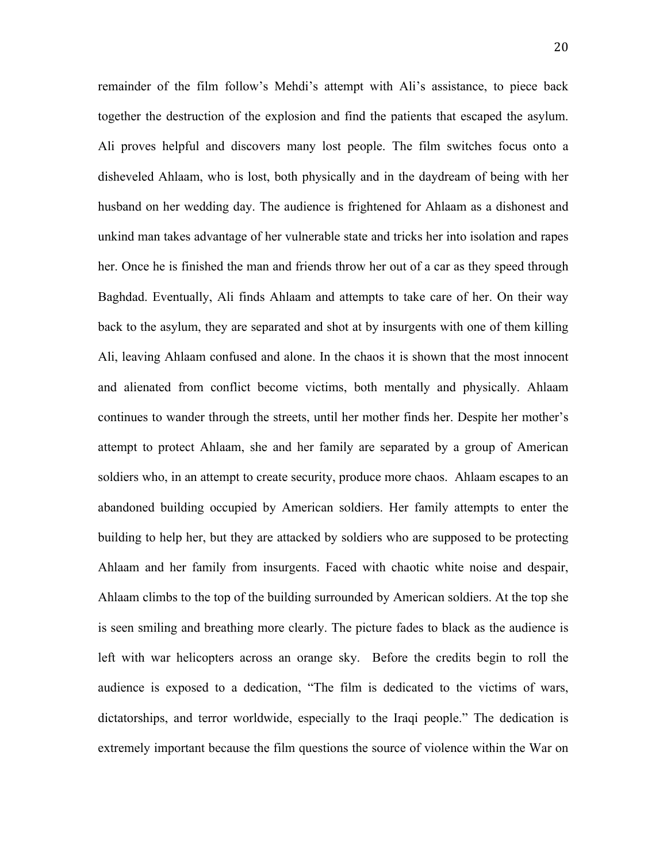remainder of the film follow's Mehdi's attempt with Ali's assistance, to piece back together the destruction of the explosion and find the patients that escaped the asylum. Ali proves helpful and discovers many lost people. The film switches focus onto a disheveled Ahlaam, who is lost, both physically and in the daydream of being with her husband on her wedding day. The audience is frightened for Ahlaam as a dishonest and unkind man takes advantage of her vulnerable state and tricks her into isolation and rapes her. Once he is finished the man and friends throw her out of a car as they speed through Baghdad. Eventually, Ali finds Ahlaam and attempts to take care of her. On their way back to the asylum, they are separated and shot at by insurgents with one of them killing Ali, leaving Ahlaam confused and alone. In the chaos it is shown that the most innocent and alienated from conflict become victims, both mentally and physically. Ahlaam continues to wander through the streets, until her mother finds her. Despite her mother's attempt to protect Ahlaam, she and her family are separated by a group of American soldiers who, in an attempt to create security, produce more chaos. Ahlaam escapes to an abandoned building occupied by American soldiers. Her family attempts to enter the building to help her, but they are attacked by soldiers who are supposed to be protecting Ahlaam and her family from insurgents. Faced with chaotic white noise and despair, Ahlaam climbs to the top of the building surrounded by American soldiers. At the top she is seen smiling and breathing more clearly. The picture fades to black as the audience is left with war helicopters across an orange sky. Before the credits begin to roll the audience is exposed to a dedication, "The film is dedicated to the victims of wars, dictatorships, and terror worldwide, especially to the Iraqi people." The dedication is extremely important because the film questions the source of violence within the War on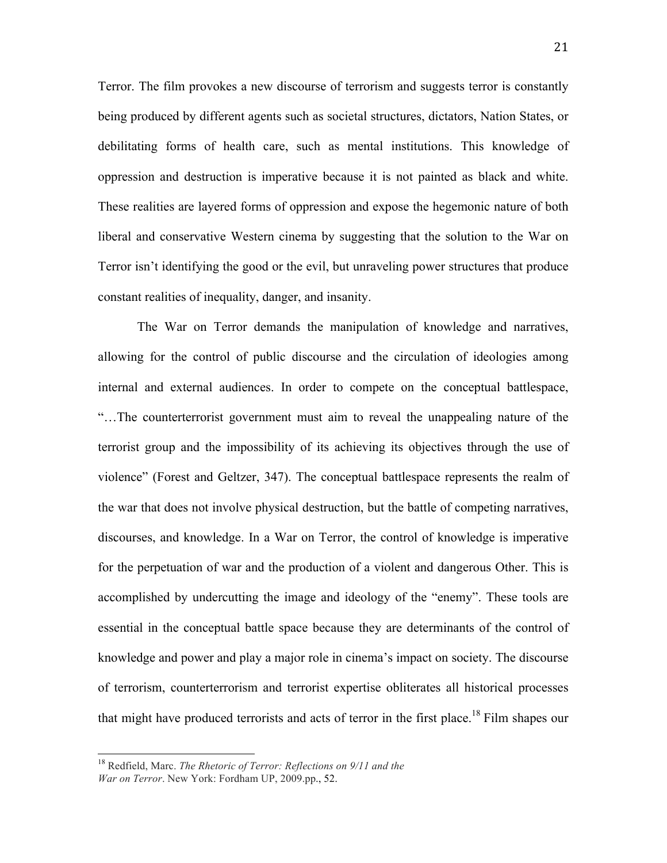Terror. The film provokes a new discourse of terrorism and suggests terror is constantly being produced by different agents such as societal structures, dictators, Nation States, or debilitating forms of health care, such as mental institutions. This knowledge of oppression and destruction is imperative because it is not painted as black and white. These realities are layered forms of oppression and expose the hegemonic nature of both liberal and conservative Western cinema by suggesting that the solution to the War on Terror isn't identifying the good or the evil, but unraveling power structures that produce constant realities of inequality, danger, and insanity.

The War on Terror demands the manipulation of knowledge and narratives, allowing for the control of public discourse and the circulation of ideologies among internal and external audiences. In order to compete on the conceptual battlespace, "…The counterterrorist government must aim to reveal the unappealing nature of the terrorist group and the impossibility of its achieving its objectives through the use of violence" (Forest and Geltzer, 347). The conceptual battlespace represents the realm of the war that does not involve physical destruction, but the battle of competing narratives, discourses, and knowledge. In a War on Terror, the control of knowledge is imperative for the perpetuation of war and the production of a violent and dangerous Other. This is accomplished by undercutting the image and ideology of the "enemy". These tools are essential in the conceptual battle space because they are determinants of the control of knowledge and power and play a major role in cinema's impact on society. The discourse of terrorism, counterterrorism and terrorist expertise obliterates all historical processes that might have produced terrorists and acts of terror in the first place.<sup>18</sup> Film shapes our

 <sup>18</sup> Redfield, Marc. *The Rhetoric of Terror: Reflections on 9/11 and the War on Terror*. New York: Fordham UP, 2009.pp., 52.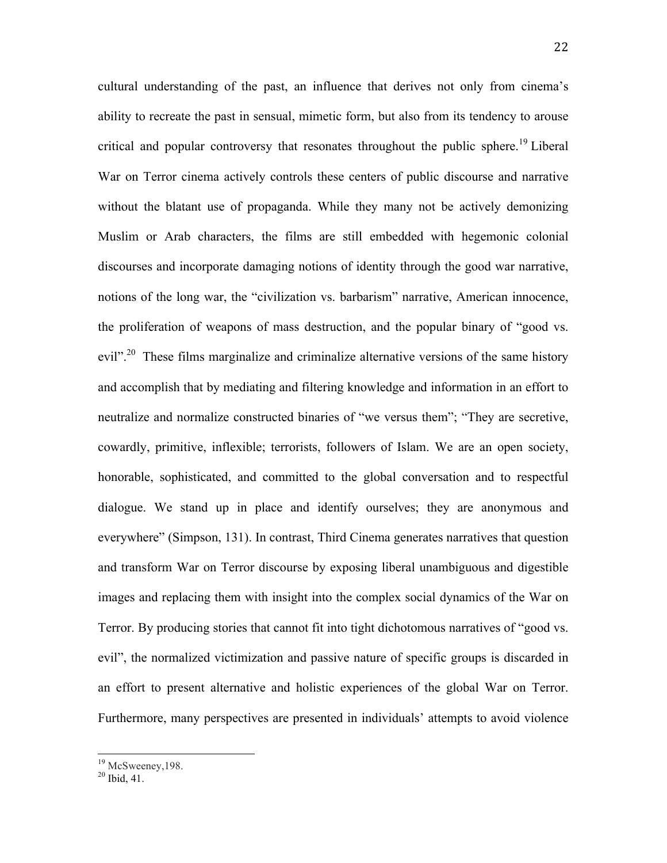cultural understanding of the past, an influence that derives not only from cinema's ability to recreate the past in sensual, mimetic form, but also from its tendency to arouse critical and popular controversy that resonates throughout the public sphere.<sup>19</sup> Liberal War on Terror cinema actively controls these centers of public discourse and narrative without the blatant use of propaganda. While they many not be actively demonizing Muslim or Arab characters, the films are still embedded with hegemonic colonial discourses and incorporate damaging notions of identity through the good war narrative, notions of the long war, the "civilization vs. barbarism" narrative, American innocence, the proliferation of weapons of mass destruction, and the popular binary of "good vs. evil".<sup>20</sup> These films marginalize and criminalize alternative versions of the same history and accomplish that by mediating and filtering knowledge and information in an effort to neutralize and normalize constructed binaries of "we versus them"; "They are secretive, cowardly, primitive, inflexible; terrorists, followers of Islam. We are an open society, honorable, sophisticated, and committed to the global conversation and to respectful dialogue. We stand up in place and identify ourselves; they are anonymous and everywhere" (Simpson, 131). In contrast, Third Cinema generates narratives that question and transform War on Terror discourse by exposing liberal unambiguous and digestible images and replacing them with insight into the complex social dynamics of the War on Terror. By producing stories that cannot fit into tight dichotomous narratives of "good vs. evil", the normalized victimization and passive nature of specific groups is discarded in an effort to present alternative and holistic experiences of the global War on Terror. Furthermore, many perspectives are presented in individuals' attempts to avoid violence

 $^{19}$  McSweeney, 198.<br> $^{20}$  Ibid. 41.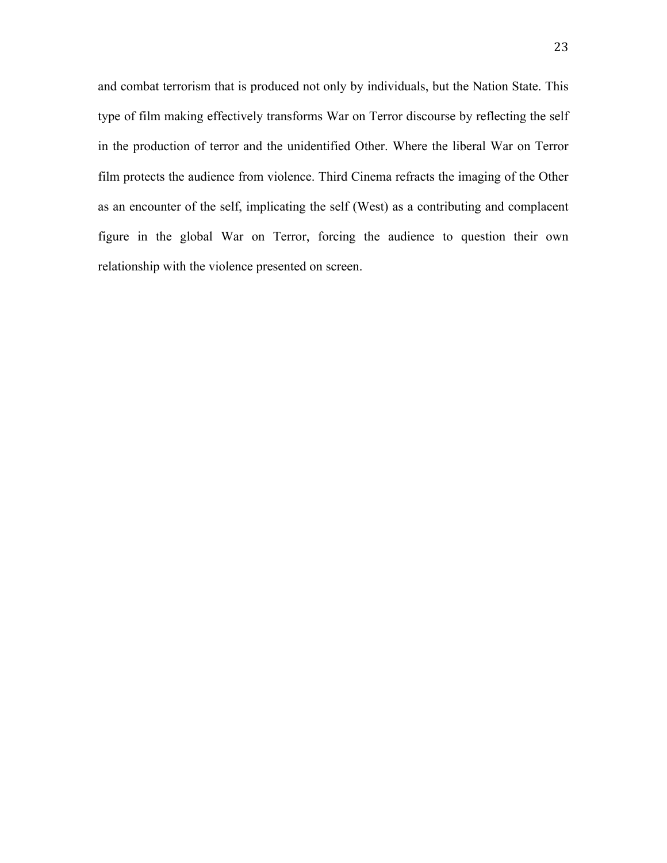and combat terrorism that is produced not only by individuals, but the Nation State. This type of film making effectively transforms War on Terror discourse by reflecting the self in the production of terror and the unidentified Other. Where the liberal War on Terror film protects the audience from violence. Third Cinema refracts the imaging of the Other as an encounter of the self, implicating the self (West) as a contributing and complacent figure in the global War on Terror, forcing the audience to question their own relationship with the violence presented on screen.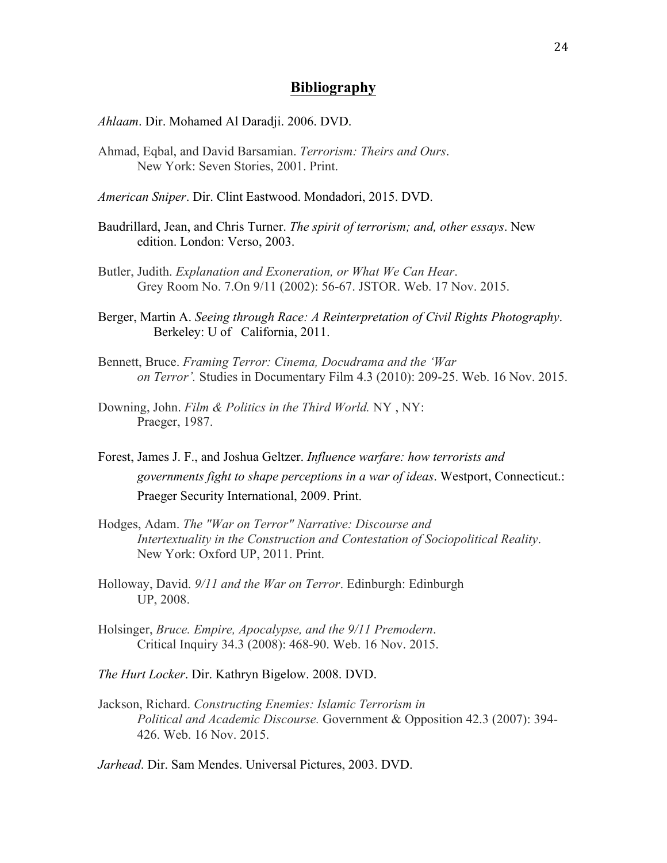### **Bibliography**

*Ahlaam*. Dir. Mohamed Al Daradji. 2006. DVD.

Ahmad, Eqbal, and David Barsamian. *Terrorism: Theirs and Ours*. New York: Seven Stories, 2001. Print.

*American Sniper*. Dir. Clint Eastwood. Mondadori, 2015. DVD.

- Baudrillard, Jean, and Chris Turner. *The spirit of terrorism; and, other essays*. New edition. London: Verso, 2003.
- Butler, Judith. *Explanation and Exoneration, or What We Can Hear*. Grey Room No. 7.On 9/11 (2002): 56-67. JSTOR. Web. 17 Nov. 2015.
- Berger, Martin A. *Seeing through Race: A Reinterpretation of Civil Rights Photography*. Berkeley: U of California, 2011.
- Bennett, Bruce. *Framing Terror: Cinema, Docudrama and the 'War on Terror'.* Studies in Documentary Film 4.3 (2010): 209-25. Web. 16 Nov. 2015.
- Downing, John. *Film & Politics in the Third World.* NY , NY: Praeger, 1987.
- Forest, James J. F., and Joshua Geltzer. *Influence warfare: how terrorists and governments fight to shape perceptions in a war of ideas*. Westport, Connecticut.: Praeger Security International, 2009. Print.
- Hodges, Adam. *The "War on Terror" Narrative: Discourse and Intertextuality in the Construction and Contestation of Sociopolitical Reality*. New York: Oxford UP, 2011. Print.
- Holloway, David. *9/11 and the War on Terror*. Edinburgh: Edinburgh UP, 2008.
- Holsinger, *Bruce. Empire, Apocalypse, and the 9/11 Premodern*. Critical Inquiry 34.3 (2008): 468-90. Web. 16 Nov. 2015.
- *The Hurt Locker*. Dir. Kathryn Bigelow. 2008. DVD.
- Jackson, Richard. *Constructing Enemies: Islamic Terrorism in Political and Academic Discourse.* Government & Opposition 42.3 (2007): 394- 426. Web. 16 Nov. 2015.

*Jarhead*. Dir. Sam Mendes. Universal Pictures, 2003. DVD.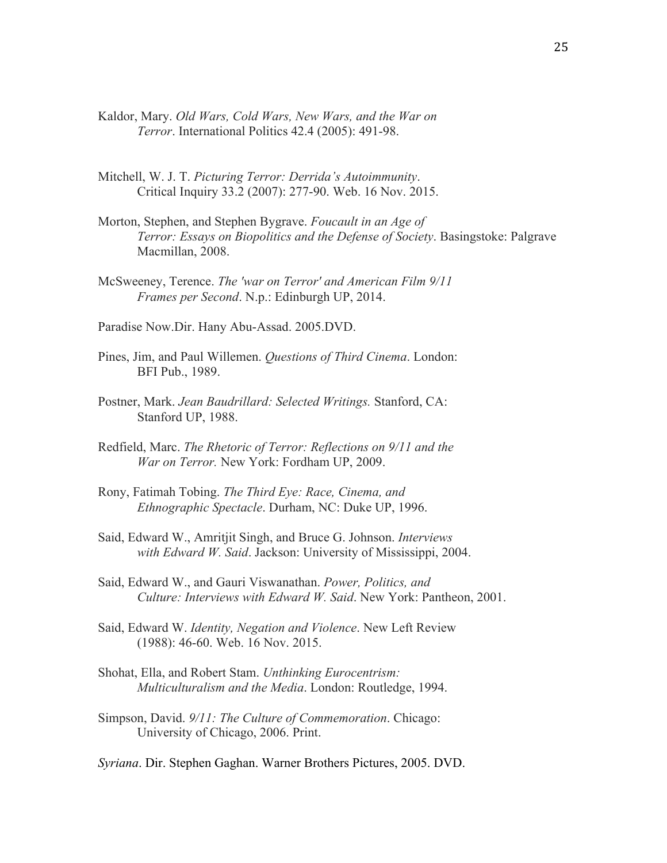- Kaldor, Mary. *Old Wars, Cold Wars, New Wars, and the War on Terror*. International Politics 42.4 (2005): 491-98.
- Mitchell, W. J. T. *Picturing Terror: Derrida's Autoimmunity*. Critical Inquiry 33.2 (2007): 277-90. Web. 16 Nov. 2015.
- Morton, Stephen, and Stephen Bygrave. *Foucault in an Age of Terror: Essays on Biopolitics and the Defense of Society*. Basingstoke: Palgrave Macmillan, 2008.
- McSweeney, Terence. *The 'war on Terror' and American Film 9/11 Frames per Second*. N.p.: Edinburgh UP, 2014.
- Paradise Now.Dir. Hany Abu-Assad. 2005.DVD.
- Pines, Jim, and Paul Willemen. *Questions of Third Cinema*. London: BFI Pub., 1989.
- Postner, Mark. *Jean Baudrillard: Selected Writings.* Stanford, CA: Stanford UP, 1988.
- Redfield, Marc. *The Rhetoric of Terror: Reflections on 9/11 and the War on Terror.* New York: Fordham UP, 2009.
- Rony, Fatimah Tobing. *The Third Eye: Race, Cinema, and Ethnographic Spectacle*. Durham, NC: Duke UP, 1996.
- Said, Edward W., Amritjit Singh, and Bruce G. Johnson. *Interviews with Edward W. Said*. Jackson: University of Mississippi, 2004.
- Said, Edward W., and Gauri Viswanathan. *Power, Politics, and Culture: Interviews with Edward W. Said*. New York: Pantheon, 2001.
- Said, Edward W. *Identity, Negation and Violence*. New Left Review (1988): 46-60. Web. 16 Nov. 2015.
- Shohat, Ella, and Robert Stam. *Unthinking Eurocentrism: Multiculturalism and the Media*. London: Routledge, 1994.
- Simpson, David. *9/11: The Culture of Commemoration*. Chicago: University of Chicago, 2006. Print.
- *Syriana*. Dir. Stephen Gaghan. Warner Brothers Pictures, 2005. DVD.